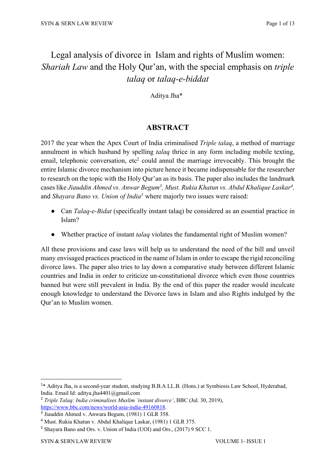# Legal analysis of divorce in Islam and rights of Muslim women: *Shariah Law* and the Holy Qur'an, with the special emphasis on *triple talaq* or *talaq-e-biddat*

Aditya Jha\***<sup>1</sup>**

# **ABSTRACT**

2017 the year when the Apex Court of India criminalised *Triple talaq*, a method of marriage annulment in which husband by spelling *talaq* thrice in any form including mobile texting, email, telephonic conversation,  $etc^2$  could annul the marriage irrevocably. This brought the entire Islamic divorce mechanism into picture hence it became indispensable for the researcher to research on the topic with the Holy Qur'an as its basis. The paper also includes the landmark cases like Jiauddin Ahmed vs. Anwar Begum<sup>3</sup>, Must. Rukia Khatun vs. Abdul Khalique Laskar<sup>4</sup>, and *Shayara Bano vs. Union of India5* where majorly two issues were raised:

- Can *Talaq-e-Bidat* (specifically instant talaq) be considered as an essential practice in Islam?
- Whether practice of instant *talaq* violates the fundamental right of Muslim women?

All these provisions and case laws will help us to understand the need of the bill and unveil many envisaged practices practiced in the name of Islam in order to escape the rigid reconciling divorce laws. The paper also tries to lay down a comparative study between different Islamic countries and India in order to criticize un-constitutional divorce which even those countries banned but were still prevalent in India. By the end of this paper the reader would inculcate enough knowledge to understand the Divorce laws in Islam and also Rights indulged by the Qur'an to Muslim women.

<sup>&</sup>lt;sup>1</sup>\* Aditya Jha, is a second-year student, studying B.B.A LL.B. (Hons.) at Symbiosis Law School, Hyderabad, India. Email Id: aditya.jha4401@gmail.com

<sup>2</sup> *Triple Talaq: India criminalises Muslim 'instant divorce'*, BBC (Jul. 30, 2019), https://www.bbc.com/news/world-asia-india-49160818.

<sup>3</sup> Jiauddin Ahmed v. Anwara Begum, (1981) 1 GLR 358.

<sup>4</sup> Must. Rukia Khatun v. Abdul Khalique Laskar, (1981) 1 GLR 375.

<sup>5</sup> Shayara Bano and Ors. v. Union of India (UOI) and Ors., (2017) 9 SCC 1.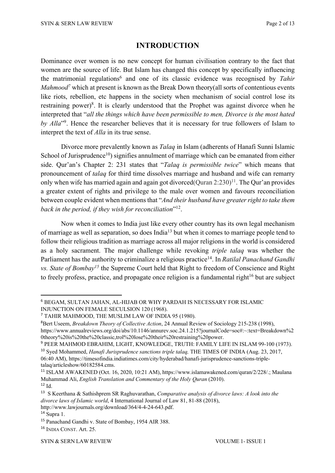## **INTRODUCTION**

Dominance over women is no new concept for human civilisation contrary to the fact that women are the source of life. But Islam has changed this concept by specifically influencing the matrimonial regulations<sup>6</sup> and one of its classic evidence was recognised by *Tahir Mahmood*<sup>7</sup> which at present is known as the Break Down theory(all sorts of contentious events like riots, rebellion, etc happens in the society when mechanism of social control lose its restraining power)<sup>8</sup>. It is clearly understood that the Prophet was against divorce when he interpreted that "*all the things which have been permissible to men, Divorce is the most hated by Alla*"9. Hence the researcher believes that it is necessary for true followers of Islam to interpret the text of *Alla* in its true sense.

Divorce more prevalently known as *Talaq* in Islam (adherents of Hanafi Sunni Islamic School of Jurisprudence<sup>10</sup>) signifies annulment of marriage which can be emanated from either side. Qur'an's Chapter 2: 231 states that "*Talaq is permissible twice*" which means that pronouncement of *talaq* for third time dissolves marriage and husband and wife can remarry only when wife has married again and again got divorced (Ouran  $2:230$ )<sup>11</sup>. The Our'an provides a greater extent of rights and privilege to the male over women and favours reconciliation between couple evident when mentions that "*And their husband have greater right to take them back in the period, if they wish for reconciliation*"12.

Now when it comes to India just like every other country has its own legal mechanism of marriage as well as separation, so does India13 but when it comes to marriage people tend to follow their religious tradition as marriage across all major religions in the world is considered as a holy sacrament. The major challenge while revoking *triple talaq* was whether the Parliament has the authority to criminalize a religious practice<sup>14</sup>. In *Ratilal Panachand Gandhi vs. State of Bombay15* the Supreme Court held that Right to freedom of Conscience and Right to freely profess, practice, and propagate once religion is a fundamental right $16$  but are subject

8 Bert Useem, *Breakdown Theory of Collective Action*, 24 Annual Review of Sociology 215-238 (1998), https://www.annualreviews.org/doi/abs/10.1146/annurev.soc.24.1.215?journalCode=soc#:~:text=Breakdown%2 0theory%20is%20the%20classic,trol%20lose%20their%20restraining%20power.

<sup>9</sup> PEER MAHMOD EBRAHIM, LIGHT, KNOWLEDGE, TRUTH: FAMILY LIFE IN ISLAM 99-100 (1973).

<sup>6</sup> BEGAM, SULTAN JAHAN, AL-HIJAB OR WHY PARDAH IS NECESSARY FOR ISLAMIC INJUNCTION ON FEMALE SECULSION 120 (1968).

<sup>7</sup> TAHIR MAHMOOD, THE MUSLIM LAW OF INDIA 95 (1980).

<sup>10</sup> Syed Mohammed, *Hanafi Jurisprudence sanctions triple talaq,* THE TIMES OF INDIA (Aug. 23, 2017, 06:40 AM), https://timesofindia.indiatimes.com/city/hyderabad/hanafi-jurisprudence-sanctions-tripletalaq/articleshow/60182584.cms.

<sup>11</sup> ISLAM AWAKENED (Oct. 16, 2020, 10:21 AM), https://www.islamawakened.com/quran/2/228/.; Maulana Muhammad Ali, *English Translation and Commentary of the Holy Quran* (2010).  $12$  Id.

<sup>13</sup> S Keerthana & Sathishprem SR Raghuvarathan, *Comparative analysis of divorce laws: A look into the divorce laws of Islamic world*, 4 International Journal of Law 81, 81-88 (2018), http://www.lawjournals.org/download/364/4-4-24-643.pdf.

<sup>14</sup> Supra 1.

<sup>15</sup> Panachand Gandhi v. State of Bombay, 1954 AIR 388.

<sup>16</sup> INDIA CONST. Art. 25.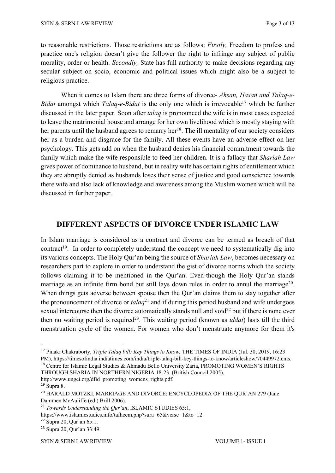to reasonable restrictions. Those restrictions are as follows: *Firstly,* Freedom to profess and practice one's religion doesn't give the follower the right to infringe any subject of public morality, order or health. *Secondly,* State has full authority to make decisions regarding any secular subject on socio, economic and political issues which might also be a subject to religious practice.

When it comes to Islam there are three forms of divorce- *Ahsan, Hasan and Talaq-e-Bidat* amongst which *Talaq-e-Bidat* is the only one which is irrevocable<sup>17</sup> which be further discussed in the later paper. Soon after *talaq* is pronounced the wife is in most cases expected to leave the matrimonial house and arrange for her own livelihood which is mostly staying with her parents until the husband agrees to remarry her<sup>18</sup>. The ill mentality of our society considers her as a burden and disgrace for the family. All these events have an adverse effect on her psychology. This gets add on when the husband denies his financial commitment towards the family which make the wife responsible to feed her children. It is a fallacy that *Shariah Law*  gives power of dominance to husband, but in reality wife has certain rights of entitlement which they are abruptly denied as husbands loses their sense of justice and good conscience towards there wife and also lack of knowledge and awareness among the Muslim women which will be discussed in further paper.

# **DIFFERENT ASPECTS OF DIVORCE UNDER ISLAMIC LAW**

In Islam marriage is considered as a contract and divorce can be termed as breach of that contract<sup>19</sup>. In order to completely understand the concept we need to systematically dig into its various concepts. The Holy Qur'an being the source of *Shariah Law*, becomes necessary on researchers part to explore in order to understand the gist of divorce norms which the society follows claiming it to be mentioned in the Qur'an. Even-though the Holy Qur'an stands marriage as an infinite firm bond but still lays down rules in order to annul the marriage<sup>20</sup>. When things gets adverse between spouse then the Qur'an claims them to stay together after the pronouncement of divorce or *talaq*<sup>21</sup> and if during this period husband and wife undergoes sexual intercourse then the divorce automatically stands null and void $22$  but if there is none ever then no waiting period is required<sup>23</sup>. This waiting period (known as *iddat*) lasts till the third menstruation cycle of the women. For women who don't menstruate anymore for them it's

http://www.ungei.org/dfid\_promoting\_womens\_rights.pdf.

<sup>17</sup> Pinaki Chakraborty, *Triple Talaq bill: Key Things to Know,* THE TIMES OF INDIA (Jul. 30, 2019, 16:23 PM), https://timesofindia.indiatimes.com/india/triple-talaq-bill-key-things-to-know/articleshow/70449972.cms. <sup>18</sup> Centre for Islamic Legal Studies & Ahmadu Bello University Zaria, PROMOTING WOMEN'S RIGHTS THROUGH SHARIA IN NORTHERN NIGERIA 18-23, (British Council 2005),

 $19$  Supra 8.

<sup>&</sup>lt;sup>20</sup> HARALD MOTZKI, MARRIAGE AND DIVORCE: ENCYCLOPEDIA OF THE QUR'AN 279 (Jane Dammen McAuliffe (ed.) Brill 2006).

<sup>21</sup> *Towards Understanding the Qur'an*, ISLAMIC STUDIES 65:1,

https://www.islamicstudies.info/tafheem.php?sura=65&verse=1&to=12.

<sup>22</sup> Supra 20, Qur'an 65:1.

<sup>23</sup> Supra 20, Qur'an 33:49.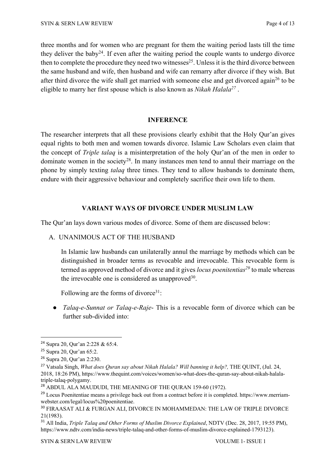three months and for women who are pregnant for them the waiting period lasts till the time they deliver the baby<sup>24</sup>. If even after the waiting period the couple wants to undergo divorce then to complete the procedure they need two witnesses<sup>25</sup>. Unless it is the third divorce between the same husband and wife, then husband and wife can remarry after divorce if they wish. But after third divorce the wife shall get married with someone else and get divorced again<sup>26</sup> to be eligible to marry her first spouse which is also known as *Nikah Halala27* .

#### **INFERENCE**

The researcher interprets that all these provisions clearly exhibit that the Holy Qur'an gives equal rights to both men and women towards divorce. Islamic Law Scholars even claim that the concept of *Triple talaq* is a misinterpretation of the holy Qur'an of the men in order to dominate women in the society<sup>28</sup>. In many instances men tend to annul their marriage on the phone by simply texting *talaq* three times. They tend to allow husbands to dominate them, endure with their aggressive behaviour and completely sacrifice their own life to them.

#### **VARIANT WAYS OF DIVORCE UNDER MUSLIM LAW**

The Qur'an lays down various modes of divorce. Some of them are discussed below:

#### A. UNANIMOUS ACT OF THE HUSBAND

In Islamic law husbands can unilaterally annul the marriage by methods which can be distinguished in broader terms as revocable and irrevocable. This revocable form is termed as approved method of divorce and it gives *locus poenitentias*<sup>29</sup> to male whereas the irrevocable one is considered as unapproved  $30$ .

Following are the forms of divorce $31$ :

● *Talaq-e-Sunnat or Talaq-e-Raje*- This is a revocable form of divorce which can be further sub-divided into:

<sup>24</sup> Supra 20, Qur'an 2:228 & 65:4.

<sup>25</sup> Supra 20, Qur'an 65:2.

<sup>26</sup> Supra 20, Qur'an 2:230.

<sup>&</sup>lt;sup>27</sup> Vatsala Singh, *What does Ouran say about Nikah Halala? Will banning it help?*, THE QUINT, (Jul. 24, 2018, 18:26 PM), https://www.thequint.com/voices/women/so-what-does-the-quran-say-about-nikah-halalatriple-talaq-polygamy.

<sup>&</sup>lt;sup>28</sup> ABDUL ALA MAUDUDI, THE MEANING OF THE QURAN 159-60 (1972).

<sup>&</sup>lt;sup>29</sup> Locus Poenitentiae means a privilege back out from a contract before it is completed. https://www.merriamwebster.com/legal/locus%20poenitentiae.

<sup>30</sup> FIRAASAT ALI & FURGAN ALI, DIVORCE IN MOHAMMEDAN: THE LAW OF TRIPLE DIVORCE 21(1983).

<sup>31</sup> All India, *Triple Talaq and Other Forms of Muslim Divorce Explained*, NDTV (Dec. 28, 2017, 19:55 PM), https://www.ndtv.com/india-news/triple-talaq-and-other-forms-of-muslim-divorce-explained-1793123).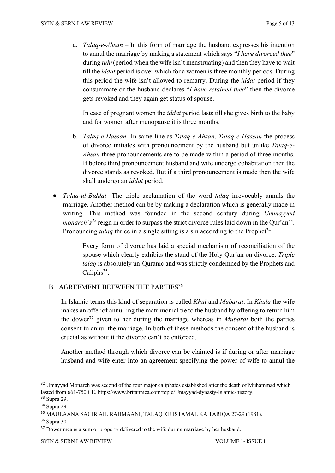a. *Talaq-e-Ahsan* – In this form of marriage the husband expresses his intention to annul the marriage by making a statement which says "*I have divorced thee*" during *tuhr*(period when the wife isn't menstruating) and then they have to wait till the *iddat* period is over which for a women is three monthly periods. During this period the wife isn't allowed to remarry. During the *iddat* period if they consummate or the husband declares "*I have retained thee*" then the divorce gets revoked and they again get status of spouse.

In case of pregnant women the *iddat* period lasts till she gives birth to the baby and for women after menopause it is three months.

- b. *Talaq-e-Hassan* In same line as *Talaq-e-Ahsan*, *Talaq-e-Hassan* the process of divorce initiates with pronouncement by the husband but unlike *Talaq-e-Ahsan* three pronouncements are to be made within a period of three months. If before third pronouncement husband and wife undergo cohabitation then the divorce stands as revoked. But if a third pronouncement is made then the wife shall undergo an *iddat* period.
- *Talaq-ul-Biddat* The triple acclamation of the word *talaq* irrevocably annuls the marriage. Another method can be by making a declaration which is generally made in writing. This method was founded in the second century during *Ummayyad monarch's*<sup>32</sup> reign in order to surpass the strict divorce rules laid down in the Qur'an<sup>33</sup>. Pronouncing *talaq* thrice in a single sitting is a sin according to the Prophet<sup>34</sup>.

Every form of divorce has laid a special mechanism of reconciliation of the spouse which clearly exhibits the stand of the Holy Qur'an on divorce. *Triple talaq* is absolutely un-Quranic and was strictly condemned by the Prophets and Caliphs<sup>35</sup>.

## B. AGREEMENT BETWEEN THE PARTIES<sup>36</sup>

In Islamic terms this kind of separation is called *Khul* and *Mubarat*. In *Khula* the wife makes an offer of annulling the matrimonial tie to the husband by offering to return him the dower37 given to her during the marriage whereas in *Mubarat* both the parties consent to annul the marriage. In both of these methods the consent of the husband is crucial as without it the divorce can't be enforced.

Another method through which divorce can be claimed is if during or after marriage husband and wife enter into an agreement specifying the power of wife to annul the

<sup>&</sup>lt;sup>32</sup> Umayyad Monarch was second of the four major caliphates established after the death of Muhammad which lasted from 661-750 CE. https://www.britannica.com/topic/Umayyad-dynasty-Islamic-history.

<sup>33</sup> Supra 29.

<sup>34</sup> Supra 29.

<sup>35</sup> MAULAANA SAGIR AH. RAHMAANI, TALAQ KE ISTAMAL KA TARIQA 27-29 (1981).

<sup>36</sup> Supra 30.

<sup>&</sup>lt;sup>37</sup> Dower means a sum or property delivered to the wife during marriage by her husband.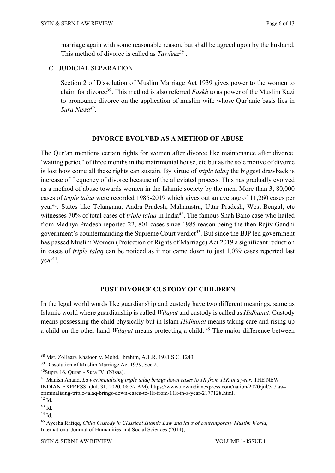marriage again with some reasonable reason, but shall be agreed upon by the husband. This method of divorce is called as *Tawfeez38* .

C. JUDICIAL SEPARATION

Section 2 of Dissolution of Muslim Marriage Act 1939 gives power to the women to claim for divorce39. This method is also referred *Faskh* to as power of the Muslim Kazi to pronounce divorce on the application of muslim wife whose Qur'anic basis lies in *Sura Nissa40*.

#### **DIVORCE EVOLVED AS A METHOD OF ABUSE**

The Qur'an mentions certain rights for women after divorce like maintenance after divorce, 'waiting period' of three months in the matrimonial house, etc but as the sole motive of divorce is lost how come all these rights can sustain. By virtue of *triple talaq* the biggest drawback is increase of frequency of divorce because of the alleviated process. This has gradually evolved as a method of abuse towards women in the Islamic society by the men. More than 3, 80,000 cases of *triple talaq* were recorded 1985-2019 which gives out an average of 11,260 cases per year41. States like Telangana, Andra-Pradesh, Maharastra, Uttar-Pradesh, West-Bengal, etc witnesses 70% of total cases of *triple talaq* in India<sup>42</sup>. The famous Shah Bano case who hailed from Madhya Pradesh reported 22, 801 cases since 1985 reason being the then Rajiv Gandhi government's countermanding the Supreme Court verdict<sup>43</sup>. But since the BJP led government has passed Muslim Women (Protection of Rights of Marriage) Act 2019 a significant reduction in cases of *triple talaq* can be noticed as it not came down to just 1,039 cases reported last  $year<sup>44</sup>$ .

#### **POST DIVORCE CUSTODY OF CHILDREN**

In the legal world words like guardianship and custody have two different meanings, same as Islamic world where guardianship is called *Wilayat* and custody is called as *Hidhanat*. Custody means possessing the child physically but in Islam *Hidhanat* means taking care and rising up a child on the other hand *Wilayat* means protecting a child. <sup>45</sup> The major difference between

<sup>38</sup> Mst. ZoIlaara Khatoon v. Mohd. Ibrahim, A.T.R. 1981 S.C. 1243.

<sup>&</sup>lt;sup>39</sup> Dissolution of Muslim Marriage Act 1939, Sec 2.

<sup>40</sup>Supra 16, Quran - Sura IV, (Nisaa).

<sup>&</sup>lt;sup>41</sup> Manish Anand, *Law criminalising triple talaq brings down cases to 1K from 11K in a year*, THE NEW INDIAN EXPRESS, (Jul. 31, 2020, 08:37 AM), https://www.newindianexpress.com/nation/2020/jul/31/lawcriminalising-triple-talaq-brings-down-cases-to-1k-from-11k-in-a-year-2177128.html.

<sup>42</sup> Id.

<sup>43</sup> Id.

<sup>44</sup> Id.

<sup>45</sup> Ayesha Rafiqq, *Child Custody in Classical Islamic Law and laws of contemporary Muslim World*, International Journal of Humanities and Social Sciences (2014),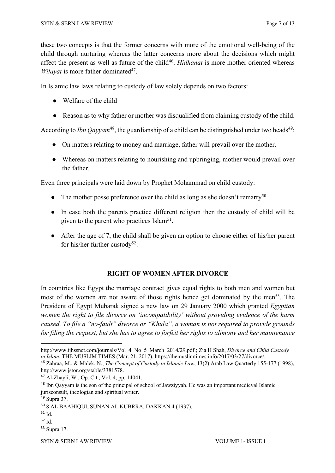these two concepts is that the former concerns with more of the emotional well-being of the child through nurturing whereas the latter concerns more about the decisions which might affect the present as well as future of the child<sup>46</sup>. *Hidhanat* is more mother oriented whereas *Wilayat* is more father dominated<sup>47</sup>.

In Islamic law laws relating to custody of law solely depends on two factors:

- Welfare of the child
- Reason as to why father or mother was disqualified from claiming custody of the child.

According to *Ibn Qayyam*<sup>48</sup>, the guardianship of a child can be distinguished under two heads<sup>49</sup>:

- On matters relating to money and marriage, father will prevail over the mother.
- Whereas on matters relating to nourishing and upbringing, mother would prevail over the father.

Even three principals were laid down by Prophet Mohammad on child custody:

- The mother posse preference over the child as long as she doesn't remarry<sup>50</sup>.
- In case both the parents practice different religion then the custody of child will be given to the parent who practices  $Islam<sup>51</sup>$ .
- After the age of 7, the child shall be given an option to choose either of his/her parent for his/her further custody<sup>52</sup>.

#### **RIGHT OF WOMEN AFTER DIVORCE**

In countries like Egypt the marriage contract gives equal rights to both men and women but most of the women are not aware of those rights hence get dominated by the men<sup>53</sup>. The President of Egypt Mubarak signed a new law on 29 January 2000 which granted *Egyptian women the right to file divorce on 'incompatibility' without providing evidence of the harm caused. To file a "no-fault" divorce or "Khula", a woman is not required to provide grounds for filing the request, but she has to agree to forfeit her rights to alimony and her maintenance* 

http://www.ijhssnet.com/journals/Vol\_4\_No\_5\_March\_2014/29.pdf.; Zia H Shah, *Divorce and Child Custody in Islam*, THE MUSLIM TIMES (Mar. 21, 2017), https://themuslimtimes.info/2017/03/27/divorce/.

<sup>46</sup> Zahraa, M., & Malek, N., *The Concept of Custody in Islamic Law*, 13(2) Arab Law Quarterly 155-177 (1998), http://www.jstor.org/stable/3381578.

<sup>47</sup> Al-Zhayli, W., Op. Cit., Vol. 4, pp. 14041.

<sup>48</sup> Ibn Qayyam is the son of the principal of school of Jawziyyah. He was an important medieval Islamic jurisconsult, theologian and spiritual writer.

<sup>49</sup> Supra 37.

<sup>50</sup> 8 AL BAAHIQUI, SUNAN AL KUBRRA, DAKKAN 4 (1937).

<sup>51</sup> Id.

<sup>52</sup> Id.

<sup>53</sup> Supra 17.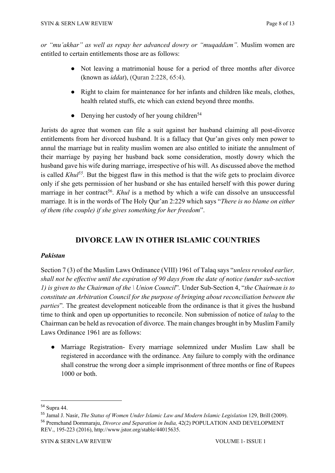*or "mu'akhar" as well as repay her advanced dowry or "muqaddam".* Muslim women are entitled to certain entitlements those are as follows:

- Not leaving a matrimonial house for a period of three months after divorce (known as *iddat*), (Quran 2:228, 65:4).
- Right to claim for maintenance for her infants and children like meals, clothes, health related stuffs, etc which can extend beyond three months.
- Denying her custody of her young children<sup>54</sup>

Jurists do agree that women can file a suit against her husband claiming all post-divorce entitlements from her divorced husband. It is a fallacy that Qur'an gives only men power to annul the marriage but in reality muslim women are also entitled to initiate the annulment of their marriage by paying her husband back some consideration, mostly dowry which the husband gave his wife during marriage, irrespective of his will. As discussed above the method is called *Khul55.* But the biggest flaw in this method is that the wife gets to proclaim divorce only if she gets permission of her husband or she has entailed herself with this power during marriage in her contract<sup>56</sup>. *Khul* is a method by which a wife can dissolve an unsuccessful marriage. It is in the words of The Holy Qur'an 2:229 which says "*There is no blame on either of them (the couple) if she gives something for her freedom*".

# **DIVORCE LAW IN OTHER ISLAMIC COUNTRIES**

#### *Pakistan*

Section 7 (3) of the Muslim Laws Ordinance (VIII) 1961 of Talaq says "*unless revoked earlier, shall not be effective until the expiration of 90 days from the date of notice (under sub-section 1) is given to the Chairman of the \ Union Council*"*.* Under Sub-Section 4, "*the Chairman is to constitute an Arbitration Council for the purpose of bringing about reconciliation between the parties*"*.* The greatest development noticeable from the ordinance is that it gives the husband time to think and open up opportunities to reconcile. Non submission of notice of *talaq* to the Chairman can be held as revocation of divorce. The main changes brought in by Muslim Family Laws Ordinance 1961 are as follows:

● Marriage Registration- Every marriage solemnized under Muslim Law shall be registered in accordance with the ordinance. Any failure to comply with the ordinance shall construe the wrong doer a simple imprisonment of three months or fine of Rupees 1000 or both.

<sup>54</sup> Supra 44.

<sup>55</sup> Jamal J. Nasir, *The Status of Women Under Islamic Law and Modern Islamic Legislation* 129, Brill (2009). <sup>56</sup> Premchand Dommaraju, *Divorce and Separation in India,* 42(2) POPULATION AND DEVELOPMENT REV., 195-223 (2016), http://www.jstor.org/stable/44015635.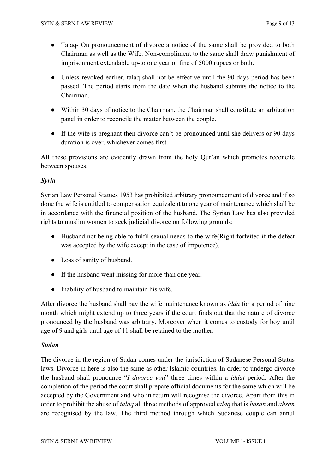- Talaq- On pronouncement of divorce a notice of the same shall be provided to both Chairman as well as the Wife. Non-compliment to the same shall draw punishment of imprisonment extendable up-to one year or fine of 5000 rupees or both.
- Unless revoked earlier, talaq shall not be effective until the 90 days period has been passed. The period starts from the date when the husband submits the notice to the Chairman.
- Within 30 days of notice to the Chairman, the Chairman shall constitute an arbitration panel in order to reconcile the matter between the couple.
- If the wife is pregnant then divorce can't be pronounced until she delivers or 90 days duration is over, whichever comes first.

All these provisions are evidently drawn from the holy Qur'an which promotes reconcile between spouses.

## *Syria*

Syrian Law Personal Statues 1953 has prohibited arbitrary pronouncement of divorce and if so done the wife is entitled to compensation equivalent to one year of maintenance which shall be in accordance with the financial position of the husband. The Syrian Law has also provided rights to muslim women to seek judicial divorce on following grounds:

- Husband not being able to fulfil sexual needs to the wife(Right forfeited if the defect was accepted by the wife except in the case of impotence).
- Loss of sanity of husband.
- If the husband went missing for more than one year.
- Inability of husband to maintain his wife.

After divorce the husband shall pay the wife maintenance known as *idda* for a period of nine month which might extend up to three years if the court finds out that the nature of divorce pronounced by the husband was arbitrary. Moreover when it comes to custody for boy until age of 9 and girls until age of 11 shall be retained to the mother.

#### *Sudan*

The divorce in the region of Sudan comes under the jurisdiction of Sudanese Personal Status laws. Divorce in here is also the same as other Islamic countries. In order to undergo divorce the husband shall pronounce "*I divorce you*" three times within a *iddat* period. After the completion of the period the court shall prepare official documents for the same which will be accepted by the Government and who in return will recognise the divorce. Apart from this in order to prohibit the abuse of *talaq* all three methods of approved *talaq* that is *hasan* and *ahsan*  are recognised by the law. The third method through which Sudanese couple can annul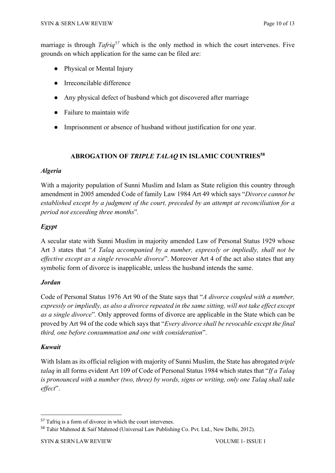marriage is through *Tafriq<sup>57</sup>* which is the only method in which the court intervenes. Five grounds on which application for the same can be filed are:

- Physical or Mental Injury
- Irreconcilable difference
- Any physical defect of husband which got discovered after marriage
- Failure to maintain wife
- Imprisonment or absence of husband without justification for one year.

## **ABROGATION OF** *TRIPLE TALAQ* **IN ISLAMIC COUNTRIES58**

#### *Algeria*

With a majority population of Sunni Muslim and Islam as State religion this country through amendment in 2005 amended Code of family Law 1984 Art 49 which says "*Divorce cannot be established except by a judgment of the court, preceded by an attempt at reconciliation for a period not exceeding three months*"*.*

# *Egypt*

A secular state with Sunni Muslim in majority amended Law of Personal Status 1929 whose Art 3 states that "*A Talaq accompanied by a number, expressly or impliedly, shall not be effective except as a single revocable divorce*". Moreover Art 4 of the act also states that any symbolic form of divorce is inapplicable, unless the husband intends the same.

#### *Jordan*

Code of Personal Status 1976 Art 90 of the State says that "*A divorce coupled with a number, expressly or impliedly, as also a divorce repeated in the same sitting, will not take effect except as a single divorce*"*.* Only approved forms of divorce are applicable in the State which can be proved by Art 94 of the code which says that "*Every divorce shall be revocable except the final third, one before consummation and one with consideration*".

## *Kuwait*

With Islam as its official religion with majority of Sunni Muslim, the State has abrogated *triple talaq* in all forms evident Art 109 of Code of Personal Status 1984 which states that "*If a Talaq is pronounced with a number (two, three) by words, signs or writing, only one Talaq shall take effect*".

<sup>&</sup>lt;sup>57</sup> Tafriq is a form of divorce in which the court intervenes.

<sup>&</sup>lt;sup>58</sup> Tahir Mahmod & Saif Mahmod (Universal Law Publishing Co. Pvt. Ltd., New Delhi, 2012).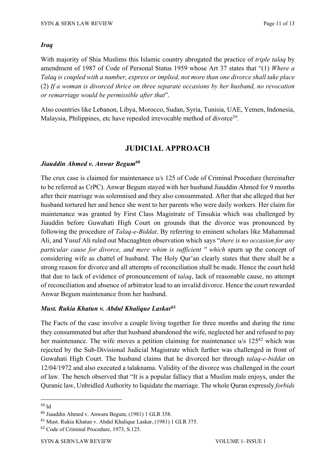#### *Iraq*

With majority of Shia Muslims this Islamic country abrogated the practice of *triple talaq* by amendment of 1987 of Code of Personal Status 1959 whose Art 37 states that "(1) *Where a Talaq is coupled with a number, express or implied, not more than one divorce shall take place* (2) *If a woman is divorced thrice on three separate occasions by her husband, no revocation or remarriage would be permissible after that*".

Also countries like Lebanon, Libya, Morocco, Sudan, Syria, Tunisia, UAE, Yemen, Indonesia, Malaysia, Philippines, etc have repealed irrevocable method of divorce<sup>59</sup>.

#### **JUDICIAL APPROACH**

#### *Jiauddin Ahmed v. Anwar Begum***<sup>60</sup>**

The crux case is claimed for maintenance u/s 125 of Code of Criminal Procedure (hereinafter to be referred as CrPC). Anwar Begum stayed with her husband Jiauddin Ahmed for 9 months after their marriage was solemnised and they also consummated. After that she alleged that her husband tortured her and hence she went to her parents who were daily workers. Her claim for maintenance was granted by First Class Magistrate of Tinsukia which was challenged by Jiauddin before Guwahati High Court on grounds that the divorce was pronounced by following the procedure of *Talaq-e-Biddat*. By referring to eminent scholars like Mahammad Ali, and Yusuf Ali ruled out Macnaghten observation which says "*there is no occasion for any particular cause for divorce, and mere whim is sufficient '' which* spurn up the concept of considering wife as chattel of husband. The Holy Qur'an clearly states that there shall be a strong reason for divorce and all attempts of reconciliation shall be made. Hence the court held that due to lack of evidence of pronouncement of *talaq*, lack of reasonable cause, no attempt of reconciliation and absence of arbitrator lead to an invalid divorce. Hence the court rewarded Anwar Begum maintenance from her husband.

#### *Must. Rukia Khatun v. Abdul Khalique Laskar***<sup>61</sup>**

The Facts of the case involve a couple living together for three months and during the time they consummated but after that husband abandoned the wife, neglected her and refused to pay her maintenance. The wife moves a petition claiming for maintenance u/s 125<sup>62</sup> which was rejected by the Sub-Divisional Judicial Magistrate which further was challenged in front of Guwahati High Court. The husband claims that he divorced her through *talaq-e-biddat* on 12/04/1972 and also executed a talaknama. Validity of the divorce was challenged in the court of law. The bench observed that "It is a popular fallacy that a Muslim male enjoys, under the Quranic law, Unbridled Authority to liquidate the marriage. The whole Quran expressly *forbids* 

<sup>59</sup> Id

<sup>60</sup> Jiauddin Ahmed v. Anwara Begum, (1981) 1 GLR 358.

<sup>61</sup> Must. Rukia Khatun v. Abdul Khalique Laskar, (1981) 1 GLR 375.

<sup>62</sup> Code of Criminal Procedure, 1973, S.125.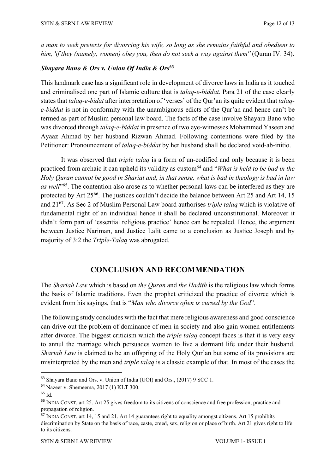*a man to seek pretexts for divorcing his wife, so long as she remains faithful and obedient to him, 'if they (namely, women) obey you, then do not seek a way against them''* (Quran IV: 34).

#### *Shayara Bano & Ors v. Union Of India & Ors***<sup>63</sup>**

This landmark case has a significant role in development of divorce laws in India as it touched and criminalised one part of Islamic culture that is *talaq-e-biddat.* Para 21 of the case clearly states that *talaq-e-bidat* after interpretation of 'verses' of the Qur'an its quite evident that *talaqe-biddat* is not in conformity with the unambiguous edicts of the Qur'an and hence can't be termed as part of Muslim personal law board. The facts of the case involve Shayara Bano who was divorced through *talaq-e-biddat* in presence of two eye-witnesses Mohammed Yaseen and Ayaaz Ahmad by her husband Rizwan Ahmad. Following contentions were filed by the Petitioner: Pronouncement of *talaq-e-biddat* by her husband shall be declared void-ab-initio.

It was observed that *triple talaq* is a form of un-codified and only because it is been practiced from archaic it can upheld its validity as custom64 and "*What is held to be bad in the Holy Quran cannot be good in Shariat and, in that sense, what is bad in theology is bad in law as well*"65. The contention also arose as to whether personal laws can be interfered as they are protected by Art 25<sup>66</sup>. The justices couldn't decide the balance between Art 25 and Art 14, 15 and 2167. As Sec 2 of Muslim Personal Law board authorises *triple talaq* which is violative of fundamental right of an individual hence it shall be declared unconstitutional. Moreover it didn't form part of 'essential religious practice' hence can be repealed. Hence, the argument between Justice Nariman, and Justice Lalit came to a conclusion as Justice Joseph and by majority of 3:2 the *Triple-Talaq* was abrogated.

## **CONCLUSION AND RECOMMENDATION**

The *Shariah Law* which is based on *the Quran* and *the Hadith* is the religious law which forms the basis of Islamic traditions. Even the prophet criticized the practice of divorce which is evident from his sayings, that is "*Man who divorce often is cursed by the God*".

The following study concludes with the fact that mere religious awareness and good conscience can drive out the problem of dominance of men in society and also gain women entitlements after divorce. The biggest criticism which the *triple talaq* concept faces is that it is very easy to annul the marriage which persuades women to live a dormant life under their husband. *Shariah Law* is claimed to be an offspring of the Holy Qur'an but some of its provisions are misinterpreted by the men and *triple talaq* is a classic example of that. In most of the cases the

<sup>63</sup> Shayara Bano and Ors. v. Union of India (UOI) and Ors., (2017) 9 SCC 1.

<sup>64</sup> Nazeer v. Shemeema, 2017 (1) KLT 300.

 $65$  Id.

<sup>66</sup> INDIA CONST. art 25. Art 25 gives freedom to its citizens of conscience and free profession, practice and propagation of religion.

<sup>&</sup>lt;sup>67</sup> INDIA CONST. art 14, 15 and 21. Art 14 guarantees right to equality amongst citizens. Art 15 prohibits discrimination by State on the basis of race, caste, creed, sex, religion or place of birth. Art 21 gives right to life to its citizens.